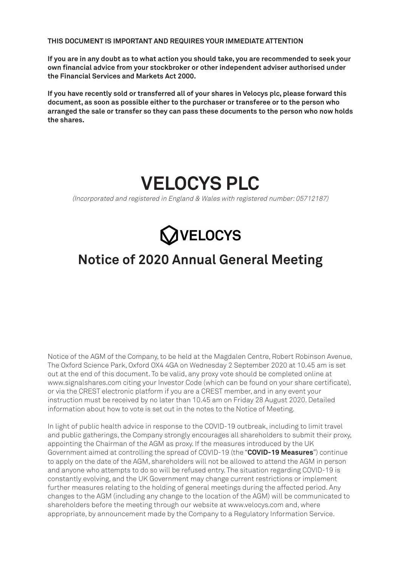**THIS DOCUMENT IS IMPORTANT AND REQUIRES YOUR IMMEDIATE ATTENTION**

**If you are in any doubt as to what action you should take, you are recommended to seek your own financial advice from your stockbroker or other independent adviser authorised under the Financial Services and Markets Act 2000.**

**If you have recently sold or transferred all of your shares in Velocys plc, please forward this document, as soon as possible either to the purchaser or transferee or to the person who arranged the sale or transfer so they can pass these documents to the person who now holds the shares.**



(Incorporated and registered in England & Wales with registered number: 05712187)



# **Notice of 2020 Annual General Meeting**

Notice of the AGM of the Company, to be held at the Magdalen Centre, Robert Robinson Avenue, The Oxford Science Park, Oxford OX4 4GA on Wednesday 2 September 2020 at 10.45 am is set out at the end of this document. To be valid, any proxy vote should be completed online at www.signalshares.com citing your Investor Code (which can be found on your share certificate), or via the CREST electronic platform if you are a CREST member, and in any event your instruction must be received by no later than 10.45 am on Friday 28 August 2020. Detailed information about how to vote is set out in the notes to the Notice of Meeting.

In light of public health advice in response to the COVID-19 outbreak, including to limit travel and public gatherings, the Company strongly encourages all shareholders to submit their proxy, appointing the Chairman of the AGM as proxy. If the measures introduced by the UK Government aimed at controlling the spread of COVID-19 (the "**COVID-19 Measures**") continue to apply on the date of the AGM, shareholders will not be allowed to attend the AGM in person and anyone who attempts to do so will be refused entry. The situation regarding COVID-19 is constantly evolving, and the UK Government may change current restrictions or implement further measures relating to the holding of general meetings during the affected period. Any changes to the AGM (including any change to the location of the AGM) will be communicated to shareholders before the meeting through our website at www.velocys.com and, where appropriate, by announcement made by the Company to a Regulatory Information Service.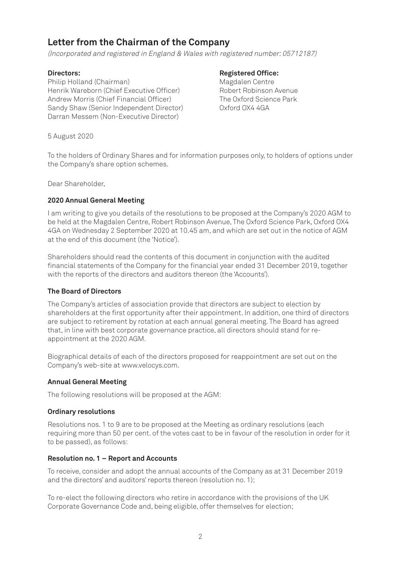## **Letter from the Chairman of the Company**

(Incorporated and registered in England & Wales with registered number: 05712187)

Philip Holland (Chairman) Magdalen Centre Henrik Wareborn (Chief Executive Officer) Robert Robinson Avenue Andrew Morris (Chief Financial Officer) The Oxford Science Park Sandy Shaw (Senior Independent Director) Oxford OX4 4GA Darran Messem (Non-Executive Director)

### **Directors:** Registered Office:

5 August 2020

To the holders of Ordinary Shares and for information purposes only, to holders of options under the Company's share option schemes.

Dear Shareholder,

#### **2020 Annual General Meeting**

I am writing to give you details of the resolutions to be proposed at the Company's 2020 AGM to be held at the Magdalen Centre, Robert Robinson Avenue, The Oxford Science Park, Oxford OX4 4GA on Wednesday 2 September 2020 at 10.45 am, and which are set out in the notice of AGM at the end of this document (the 'Notice').

Shareholders should read the contents of this document in conjunction with the audited financial statements of the Company for the financial year ended 31 December 2019, together with the reports of the directors and auditors thereon (the 'Accounts').

#### **The Board of Directors**

The Company's articles of association provide that directors are subject to election by shareholders at the first opportunity after their appointment. In addition, one third of directors are subject to retirement by rotation at each annual general meeting. The Board has agreed that, in line with best corporate governance practice, all directors should stand for reappointment at the 2020 AGM.

Biographical details of each of the directors proposed for reappointment are set out on the Company's web-site at www.velocys.com.

#### **Annual General Meeting**

The following resolutions will be proposed at the AGM:

#### **Ordinary resolutions**

Resolutions nos. 1 to 9 are to be proposed at the Meeting as ordinary resolutions (each requiring more than 50 per cent. of the votes cast to be in favour of the resolution in order for it to be passed), as follows:

#### **Resolution no. 1 – Report and Accounts**

To receive, consider and adopt the annual accounts of the Company as at 31 December 2019 and the directors' and auditors' reports thereon (resolution no. 1);

To re-elect the following directors who retire in accordance with the provisions of the UK Corporate Governance Code and, being eligible, offer themselves for election;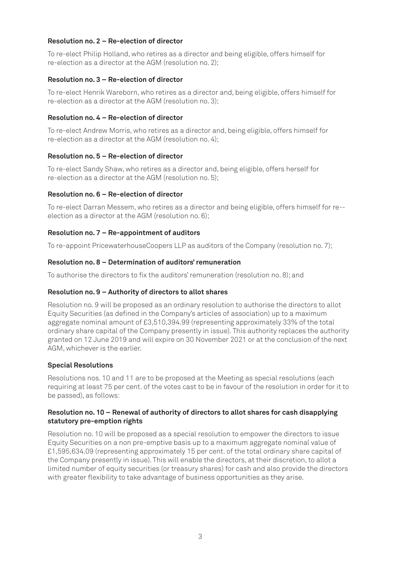#### **Resolution no. 2 – Re-election of director**

To re-elect Philip Holland, who retires as a director and being eligible, offers himself for re-election as a director at the AGM (resolution no. 2);

#### **Resolution no. 3 – Re-election of director**

To re-elect Henrik Wareborn, who retires as a director and, being eligible, offers himself for re-election as a director at the AGM (resolution no. 3);

#### **Resolution no. 4 – Re-election of director**

To re-elect Andrew Morris, who retires as a director and, being eligible, offers himself for re-election as a director at the AGM (resolution no. 4);

#### **Resolution no. 5 – Re-election of director**

To re-elect Sandy Shaw, who retires as a director and, being eligible, offers herself for re-election as a director at the AGM (resolution no. 5);

#### **Resolution no. 6 – Re-election of director**

To re-elect Darran Messem, who retires as a director and being eligible, offers himself for re- election as a director at the AGM (resolution no. 6);

#### **Resolution no. 7 – Re-appointment of auditors**

To re-appoint PricewaterhouseCoopers LLP as auditors of the Company (resolution no. 7);

#### **Resolution no. 8 – Determination of auditors' remuneration**

To authorise the directors to fix the auditors' remuneration (resolution no. 8); and

#### **Resolution no. 9 – Authority of directors to allot shares**

Resolution no. 9 will be proposed as an ordinary resolution to authorise the directors to allot Equity Securities (as defined in the Company's articles of association) up to a maximum aggregate nominal amount of £3,510,394.99 (representing approximately 33% of the total ordinary share capital of the Company presently in issue). This authority replaces the authority granted on 12 June 2019 and will expire on 30 November 2021 or at the conclusion of the next AGM, whichever is the earlier.

#### **Special Resolutions**

Resolutions nos. 10 and 11 are to be proposed at the Meeting as special resolutions (each requiring at least 75 per cent. of the votes cast to be in favour of the resolution in order for it to be passed), as follows:

#### **Resolution no. 10 – Renewal of authority of directors to allot shares for cash disapplying statutory pre-emption rights**

Resolution no. 10 will be proposed as a special resolution to empower the directors to issue Equity Securities on a non pre-emptive basis up to a maximum aggregate nominal value of £1,595,634.09 (representing approximately 15 per cent. of the total ordinary share capital of the Company presently in issue). This will enable the directors, at their discretion, to allot a limited number of equity securities (or treasury shares) for cash and also provide the directors with greater flexibility to take advantage of business opportunities as they arise.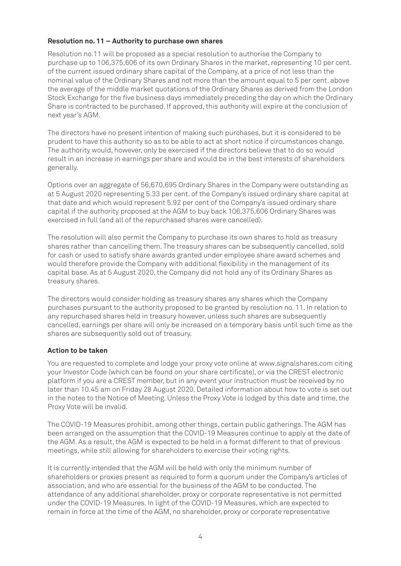#### **Resolution no. 11 – Authority to purchase own shares**

Resolution no.11 will be proposed as a special resolution to authorise the Company to purchase up to 106,375,606 of its own Ordinary Shares in the market, representing 10 per cent. of the current issued ordinary share capital of the Company, at a price of not less than the nominal value of the Ordinary Shares and not more than the amount equal to 5 per cent. above the average of the middle market quotations of the Ordinary Shares as derived from the London Stock Exchange for the five business days immediately preceding the day on which the Ordinary Share is contracted to be purchased. If approved, this authority will expire at the conclusion of next year's AGM.

The directors have no present intention of making such purchases, but it is considered to be prudent to have this authority so as to be able to act at short notice if circumstances change. The authority would, however, only be exercised if the directors believe that to do so would result in an increase in earnings per share and would be in the best interests of shareholders generally.

Options over an aggregate of 56,670,695 Ordinary Shares in the Company were outstanding as at 5 August 2020 representing 5.33 per cent. of the Company's issued ordinary share capital at that date and which would represent 5.92 per cent of the Company's issued ordinary share capital if the authority proposed at the AGM to buy back 106,375,606 Ordinary Shares was exercised in full (and all of the repurchased shares were cancelled).

The resolution will also permit the Company to purchase its own shares to hold as treasury shares rather than cancelling them. The treasury shares can be subsequently cancelled, sold for cash or used to satisfy share awards granted under employee share award schemes and would therefore provide the Company with additional flexibility in the management of its capital base. As at 5 August 2020, the Company did not hold any of its Ordinary Shares as treasury shares.

The directors would consider holding as treasury shares any shares which the Company purchases pursuant to the authority proposed to be granted by resolution no. 11. In relation to any repurchased shares held in treasury however, unless such shares are subsequently cancelled, earnings per share will only be increased on a temporary basis until such time as the shares are subsequently sold out of treasury.

#### **Action to be taken**

You are requested to complete and lodge your proxy vote online at www.signalshares.com citing your Investor Code (which can be found on your share certificate), or via the CREST electronic platform if you are a CREST member, but in any event your instruction must be received by no later than 10.45 am on Friday 28 August 2020. Detailed information about how to vote is set out in the notes to the Notice of Meeting. Unless the Proxy Vote is lodged by this date and time, the Proxy Vote will be invalid.

The COVID-19 Measures prohibit, among other things, certain public gatherings. The AGM has been arranged on the assumption that the COVID-19 Measures continue to apply at the date of the AGM. As a result, the AGM is expected to be held in a format different to that of previous meetings, while still allowing for shareholders to exercise their voting rights.

It is currently intended that the AGM will be held with only the minimum number of shareholders or proxies present as required to form a quorum under the Company's articles of association, and who are essential for the business of the AGM to be conducted. The attendance of any additional shareholder, proxy or corporate representative is not permitted under the COVID-19 Measures. In light of the COVID-19 Measures, which are expected to remain in force at the time of the AGM, no shareholder, proxy or corporate representative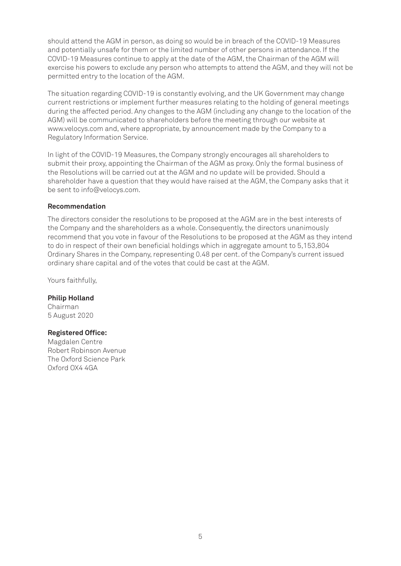should attend the AGM in person, as doing so would be in breach of the COVID-19 Measures and potentially unsafe for them or the limited number of other persons in attendance. If the COVID-19 Measures continue to apply at the date of the AGM, the Chairman of the AGM will exercise his powers to exclude any person who attempts to attend the AGM, and they will not be permitted entry to the location of the AGM.

The situation regarding COVID-19 is constantly evolving, and the UK Government may change current restrictions or implement further measures relating to the holding of general meetings during the affected period. Any changes to the AGM (including any change to the location of the AGM) will be communicated to shareholders before the meeting through our website at www.velocys.com and, where appropriate, by announcement made by the Company to a Regulatory Information Service.

In light of the COVID-19 Measures, the Company strongly encourages all shareholders to submit their proxy, appointing the Chairman of the AGM as proxy. Only the formal business of the Resolutions will be carried out at the AGM and no update will be provided. Should a shareholder have a question that they would have raised at the AGM, the Company asks that it be sent to info@velocys.com.

#### **Recommendation**

The directors consider the resolutions to be proposed at the AGM are in the best interests of the Company and the shareholders as a whole. Consequently, the directors unanimously recommend that you vote in favour of the Resolutions to be proposed at the AGM as they intend to do in respect of their own beneficial holdings which in aggregate amount to 5,153,804 Ordinary Shares in the Company, representing 0.48 per cent. of the Company's current issued ordinary share capital and of the votes that could be cast at the AGM.

Yours faithfully,

**Philip Holland** Chairman 5 August 2020

#### **Registered Office:**

Magdalen Centre Robert Robinson Avenue The Oxford Science Park Oxford OX4 4GA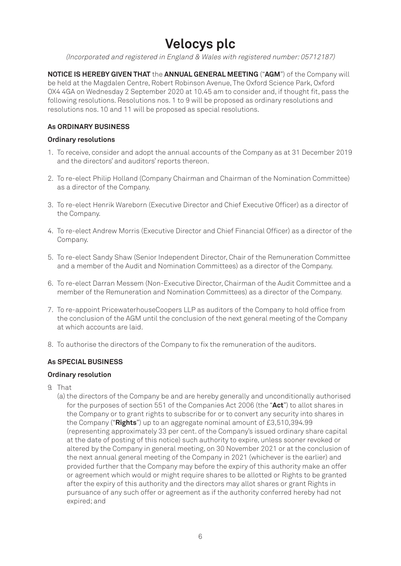## **Velocys plc**

(Incorporated and registered in England & Wales with registered number: 05712187)

**NOTICE IS HEREBY GIVEN THAT** the **ANNUAL GENERAL MEETING** ("**AGM**") of the Company will be held at the Magdalen Centre, Robert Robinson Avenue, The Oxford Science Park, Oxford OX4 4GA on Wednesday 2 September 2020 at 10.45 am to consider and, if thought fit, pass the following resolutions. Resolutions nos. 1 to 9 will be proposed as ordinary resolutions and resolutions nos. 10 and 11 will be proposed as special resolutions.

#### **As ORDINARY BUSINESS**

#### **Ordinary resolutions**

- 1. To receive, consider and adopt the annual accounts of the Company as at 31 December 2019 and the directors' and auditors' reports thereon.
- 2. To re-elect Philip Holland (Company Chairman and Chairman of the Nomination Committee) as a director of the Company.
- 3. To re-elect Henrik Wareborn (Executive Director and Chief Executive Officer) as a director of the Company.
- 4. To re-elect Andrew Morris (Executive Director and Chief Financial Officer) as a director of the Company.
- 5. To re-elect Sandy Shaw (Senior Independent Director, Chair of the Remuneration Committee and a member of the Audit and Nomination Committees) as a director of the Company.
- 6. To re-elect Darran Messem (Non-Executive Director, Chairman of the Audit Committee and a member of the Remuneration and Nomination Committees) as a director of the Company.
- 7. To re-appoint PricewaterhouseCoopers LLP as auditors of the Company to hold office from the conclusion of the AGM until the conclusion of the next general meeting of the Company at which accounts are laid.
- 8. To authorise the directors of the Company to fix the remuneration of the auditors.

#### **As SPECIAL BUSINESS**

#### **Ordinary resolution**

- 9. That
	- (a) the directors of the Company be and are hereby generally and unconditionally authorised for the purposes of section 551 of the Companies Act 2006 (the "**Act**") to allot shares in the Company or to grant rights to subscribe for or to convert any security into shares in the Company ("**Rights**") up to an aggregate nominal amount of £3,510,394.99 (representing approximately 33 per cent. of the Company's issued ordinary share capital at the date of posting of this notice) such authority to expire, unless sooner revoked or altered by the Company in general meeting, on 30 November 2021 or at the conclusion of the next annual general meeting of the Company in 2021 (whichever is the earlier) and provided further that the Company may before the expiry of this authority make an offer or agreement which would or might require shares to be allotted or Rights to be granted after the expiry of this authority and the directors may allot shares or grant Rights in pursuance of any such offer or agreement as if the authority conferred hereby had not expired; and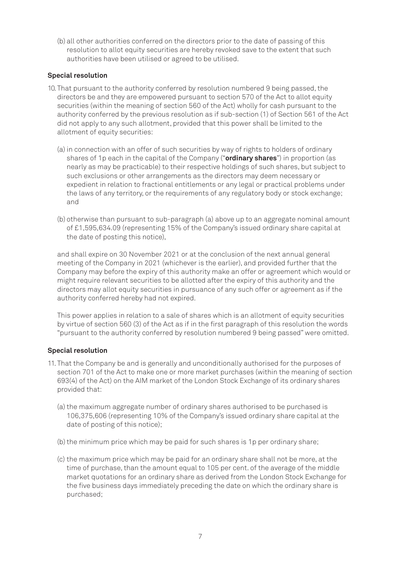(b) all other authorities conferred on the directors prior to the date of passing of this resolution to allot equity securities are hereby revoked save to the extent that such authorities have been utilised or agreed to be utilised.

#### **Special resolution**

- 10. That pursuant to the authority conferred by resolution numbered 9 being passed, the directors be and they are empowered pursuant to section 570 of the Act to allot equity securities (within the meaning of section 560 of the Act) wholly for cash pursuant to the authority conferred by the previous resolution as if sub-section (1) of Section 561 of the Act did not apply to any such allotment, provided that this power shall be limited to the allotment of equity securities:
	- (a) in connection with an offer of such securities by way of rights to holders of ordinary shares of 1p each in the capital of the Company ("**ordinary shares**") in proportion (as nearly as may be practicable) to their respective holdings of such shares, but subject to such exclusions or other arrangements as the directors may deem necessary or expedient in relation to fractional entitlements or any legal or practical problems under the laws of any territory, or the requirements of any regulatory body or stock exchange; and
	- (b) otherwise than pursuant to sub-paragraph (a) above up to an aggregate nominal amount of £1,595,634.09 (representing 15% of the Company's issued ordinary share capital at the date of posting this notice),

and shall expire on 30 November 2021 or at the conclusion of the next annual general meeting of the Company in 2021 (whichever is the earlier), and provided further that the Company may before the expiry of this authority make an offer or agreement which would or might require relevant securities to be allotted after the expiry of this authority and the directors may allot equity securities in pursuance of any such offer or agreement as if the authority conferred hereby had not expired.

This power applies in relation to a sale of shares which is an allotment of equity securities by virtue of section 560 (3) of the Act as if in the first paragraph of this resolution the words "pursuant to the authority conferred by resolution numbered 9 being passed" were omitted.

#### **Special resolution**

- 11. That the Company be and is generally and unconditionally authorised for the purposes of section 701 of the Act to make one or more market purchases (within the meaning of section 693(4) of the Act) on the AIM market of the London Stock Exchange of its ordinary shares provided that:
	- (a) the maximum aggregate number of ordinary shares authorised to be purchased is 106,375,606 (representing 10% of the Company's issued ordinary share capital at the date of posting of this notice);
	- (b) the minimum price which may be paid for such shares is 1p per ordinary share;
	- (c) the maximum price which may be paid for an ordinary share shall not be more, at the time of purchase, than the amount equal to 105 per cent. of the average of the middle market quotations for an ordinary share as derived from the London Stock Exchange for the five business days immediately preceding the date on which the ordinary share is purchased;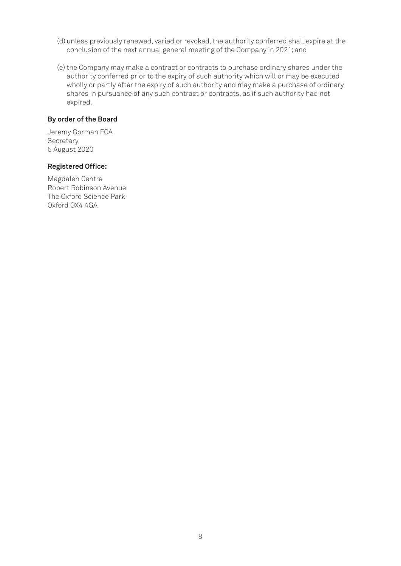- (d) unless previously renewed, varied or revoked, the authority conferred shall expire at the conclusion of the next annual general meeting of the Company in 2021; and
- (e) the Company may make a contract or contracts to purchase ordinary shares under the authority conferred prior to the expiry of such authority which will or may be executed wholly or partly after the expiry of such authority and may make a purchase of ordinary shares in pursuance of any such contract or contracts, as if such authority had not expired.

#### **By order of the Board**

Jeremy Gorman FCA **Secretary** 5 August 2020

#### **Registered Office:**

Magdalen Centre Robert Robinson Avenue The Oxford Science Park Oxford OX4 4GA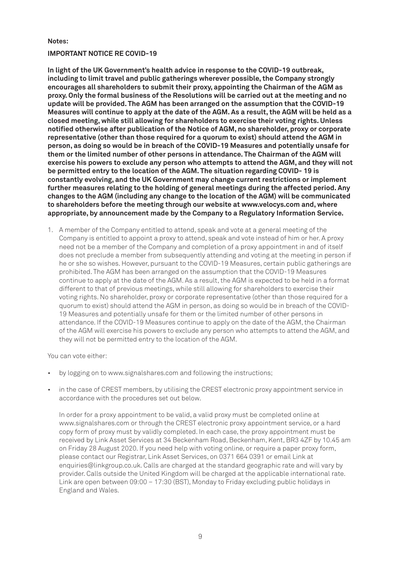#### **Notes:**

#### **IMPORTANT NOTICE RE COVID-19**

**In light of the UK Government's health advice in response to the COVID-19 outbreak, including to limit travel and public gatherings wherever possible, the Company strongly encourages all shareholders to submit their proxy, appointing the Chairman of the AGM as proxy. Only the formal business of the Resolutions will be carried out at the meeting and no update will be provided. The AGM has been arranged on the assumption that the COVID-19 Measures will continue to apply at the date of the AGM. As a result, the AGM will be held as a closed meeting, while still allowing for shareholders to exercise their voting rights. Unless notified otherwise after publication of the Notice of AGM, no shareholder, proxy or corporate representative (other than those required for a quorum to exist) should attend the AGM in person, as doing so would be in breach of the COVID-19 Measures and potentially unsafe for them or the limited number of other persons in attendance. The Chairman of the AGM will exercise his powers to exclude any person who attempts to attend the AGM, and they will not be permitted entry to the location of the AGM. The situation regarding COVID- 19 is constantly evolving, and the UK Government may change current restrictions or implement further measures relating to the holding of general meetings during the affected period. Any changes to the AGM (including any change to the location of the AGM) will be communicated to shareholders before the meeting through our website at www.velocys.com and, where appropriate, by announcement made by the Company to a Regulatory Information Service.**

1. A member of the Company entitled to attend, speak and vote at a general meeting of the Company is entitled to appoint a proxy to attend, speak and vote instead of him or her. A proxy need not be a member of the Company and completion of a proxy appointment in and of itself does not preclude a member from subsequently attending and voting at the meeting in person if he or she so wishes. However, pursuant to the COVID-19 Measures, certain public gatherings are prohibited. The AGM has been arranged on the assumption that the COVID-19 Measures continue to apply at the date of the AGM. As a result, the AGM is expected to be held in a format different to that of previous meetings, while still allowing for shareholders to exercise their voting rights. No shareholder, proxy or corporate representative (other than those required for a quorum to exist) should attend the AGM in person, as doing so would be in breach of the COVID-19 Measures and potentially unsafe for them or the limited number of other persons in attendance. If the COVID-19 Measures continue to apply on the date of the AGM, the Chairman of the AGM will exercise his powers to exclude any person who attempts to attend the AGM, and they will not be permitted entry to the location of the AGM.

You can vote either:

- by logging on to www.signalshares.com and following the instructions;
- in the case of CREST members, by utilising the CREST electronic proxy appointment service in accordance with the procedures set out below.

In order for a proxy appointment to be valid, a valid proxy must be completed online at www.signalshares.com or through the CREST electronic proxy appointment service, or a hard copy form of proxy must by validly completed. In each case, the proxy appointment must be received by Link Asset Services at 34 Beckenham Road, Beckenham, Kent, BR3 4ZF by 10.45 am on Friday 28 August 2020. If you need help with voting online, or require a paper proxy form, please contact our Registrar, Link Asset Services, on 0371 664 0391 or email Link at enquiries@linkgroup.co.uk. Calls are charged at the standard geographic rate and will vary by provider. Calls outside the United Kingdom will be charged at the applicable international rate. Link are open between 09:00 – 17:30 (BST), Monday to Friday excluding public holidays in England and Wales.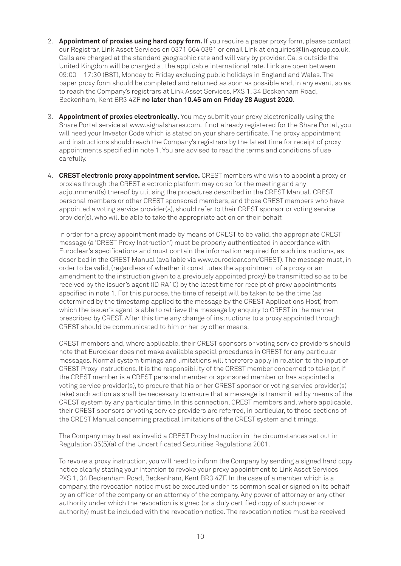- 2. **Appointment of proxies using hard copy form.** If you require a paper proxy form, please contact our Registrar, Link Asset Services on 0371 664 0391 or email Link at enquiries@linkgroup.co.uk. Calls are charged at the standard geographic rate and will vary by provider. Calls outside the United Kingdom will be charged at the applicable international rate. Link are open between 09:00 – 17:30 (BST), Monday to Friday excluding public holidays in England and Wales. The paper proxy form should be completed and returned as soon as possible and, in any event, so as to reach the Company's registrars at Link Asset Services, PXS 1, 34 Beckenham Road, Beckenham, Kent BR3 4ZF **no later than 10.45 am on Friday 28 August 2020**.
- 3. **Appointment of proxies electronically.** You may submit your proxy electronically using the Share Portal service at www.signalshares.com. If not already registered for the Share Portal, you will need your Investor Code which is stated on your share certificate. The proxy appointment and instructions should reach the Company's registrars by the latest time for receipt of proxy appointments specified in note 1. You are advised to read the terms and conditions of use carefully.
- 4. **CREST electronic proxy appointment service.** CREST members who wish to appoint a proxy or proxies through the CREST electronic platform may do so for the meeting and any adjournment(s) thereof by utilising the procedures described in the CREST Manual. CREST personal members or other CREST sponsored members, and those CREST members who have appointed a voting service provider(s), should refer to their CREST sponsor or voting service provider(s), who will be able to take the appropriate action on their behalf.

In order for a proxy appointment made by means of CREST to be valid, the appropriate CREST message (a 'CREST Proxy Instruction') must be properly authenticated in accordance with Euroclear's specifications and must contain the information required for such instructions, as described in the CREST Manual (available via www.euroclear.com/CREST). The message must, in order to be valid, (regardless of whether it constitutes the appointment of a proxy or an amendment to the instruction given to a previously appointed proxy) be transmitted so as to be received by the issuer's agent (ID RA10) by the latest time for receipt of proxy appointments specified in note 1. For this purpose, the time of receipt will be taken to be the time (as determined by the timestamp applied to the message by the CREST Applications Host) from which the issuer's agent is able to retrieve the message by enquiry to CREST in the manner prescribed by CREST. After this time any change of instructions to a proxy appointed through CREST should be communicated to him or her by other means.

CREST members and, where applicable, their CREST sponsors or voting service providers should note that Euroclear does not make available special procedures in CREST for any particular messages. Normal system timings and limitations will therefore apply in relation to the input of CREST Proxy Instructions. It is the responsibility of the CREST member concerned to take (or, if the CREST member is a CREST personal member or sponsored member or has appointed a voting service provider(s), to procure that his or her CREST sponsor or voting service provider(s) take) such action as shall be necessary to ensure that a message is transmitted by means of the CREST system by any particular time. In this connection, CREST members and, where applicable, their CREST sponsors or voting service providers are referred, in particular, to those sections of the CREST Manual concerning practical limitations of the CREST system and timings.

The Company may treat as invalid a CREST Proxy Instruction in the circumstances set out in Regulation 35(5)(a) of the Uncertificated Securities Regulations 2001.

To revoke a proxy instruction, you will need to inform the Company by sending a signed hard copy notice clearly stating your intention to revoke your proxy appointment to Link Asset Services PXS 1, 34 Beckenham Road, Beckenham, Kent BR3 4ZF. In the case of a member which is a company, the revocation notice must be executed under its common seal or signed on its behalf by an officer of the company or an attorney of the company. Any power of attorney or any other authority under which the revocation is signed (or a duly certified copy of such power or authority) must be included with the revocation notice. The revocation notice must be received